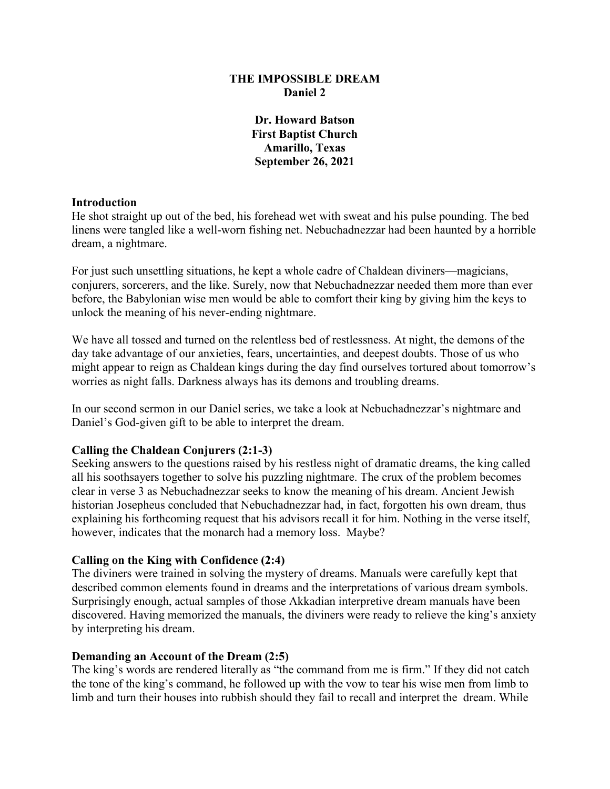## **THE IMPOSSIBLE DREAM Daniel 2**

**Dr. Howard Batson First Baptist Church Amarillo, Texas September 26, 2021**

### **Introduction**

He shot straight up out of the bed, his forehead wet with sweat and his pulse pounding. The bed linens were tangled like a well-worn fishing net. Nebuchadnezzar had been haunted by a horrible dream, a nightmare.

For just such unsettling situations, he kept a whole cadre of Chaldean diviners—magicians, conjurers, sorcerers, and the like. Surely, now that Nebuchadnezzar needed them more than ever before, the Babylonian wise men would be able to comfort their king by giving him the keys to unlock the meaning of his never-ending nightmare.

We have all tossed and turned on the relentless bed of restlessness. At night, the demons of the day take advantage of our anxieties, fears, uncertainties, and deepest doubts. Those of us who might appear to reign as Chaldean kings during the day find ourselves tortured about tomorrow's worries as night falls. Darkness always has its demons and troubling dreams.

In our second sermon in our Daniel series, we take a look at Nebuchadnezzar's nightmare and Daniel's God-given gift to be able to interpret the dream.

### **Calling the Chaldean Conjurers (2:1-3)**

Seeking answers to the questions raised by his restless night of dramatic dreams, the king called all his soothsayers together to solve his puzzling nightmare. The crux of the problem becomes clear in verse 3 as Nebuchadnezzar seeks to know the meaning of his dream. Ancient Jewish historian Josepheus concluded that Nebuchadnezzar had, in fact, forgotten his own dream, thus explaining his forthcoming request that his advisors recall it for him. Nothing in the verse itself, however, indicates that the monarch had a memory loss. Maybe?

### **Calling on the King with Confidence (2:4)**

The diviners were trained in solving the mystery of dreams. Manuals were carefully kept that described common elements found in dreams and the interpretations of various dream symbols. Surprisingly enough, actual samples of those Akkadian interpretive dream manuals have been discovered. Having memorized the manuals, the diviners were ready to relieve the king's anxiety by interpreting his dream.

### **Demanding an Account of the Dream (2:5)**

The king's words are rendered literally as "the command from me is firm." If they did not catch the tone of the king's command, he followed up with the vow to tear his wise men from limb to limb and turn their houses into rubbish should they fail to recall and interpret the dream. While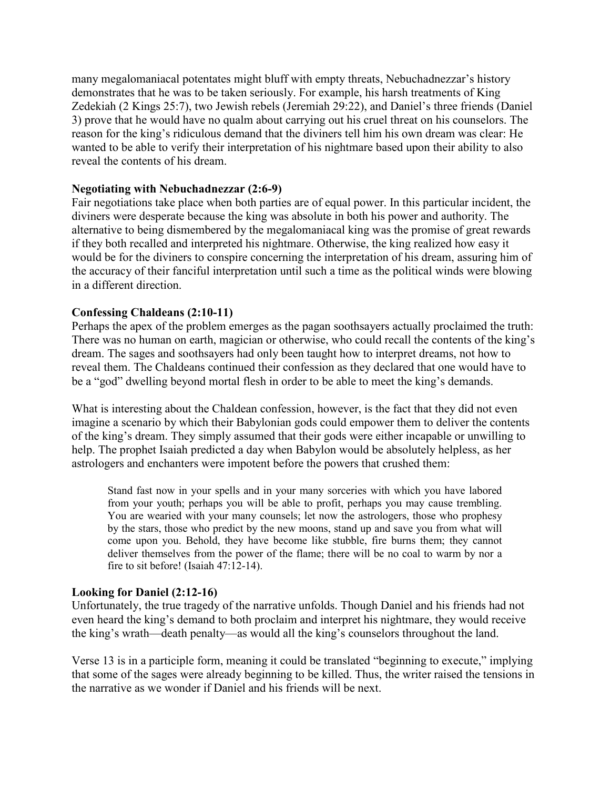many megalomaniacal potentates might bluff with empty threats, Nebuchadnezzar's history demonstrates that he was to be taken seriously. For example, his harsh treatments of King Zedekiah (2 Kings 25:7), two Jewish rebels (Jeremiah 29:22), and Daniel's three friends (Daniel 3) prove that he would have no qualm about carrying out his cruel threat on his counselors. The reason for the king's ridiculous demand that the diviners tell him his own dream was clear: He wanted to be able to verify their interpretation of his nightmare based upon their ability to also reveal the contents of his dream.

## **Negotiating with Nebuchadnezzar (2:6-9)**

Fair negotiations take place when both parties are of equal power. In this particular incident, the diviners were desperate because the king was absolute in both his power and authority. The alternative to being dismembered by the megalomaniacal king was the promise of great rewards if they both recalled and interpreted his nightmare. Otherwise, the king realized how easy it would be for the diviners to conspire concerning the interpretation of his dream, assuring him of the accuracy of their fanciful interpretation until such a time as the political winds were blowing in a different direction.

## **Confessing Chaldeans (2:10-11)**

Perhaps the apex of the problem emerges as the pagan soothsayers actually proclaimed the truth: There was no human on earth, magician or otherwise, who could recall the contents of the king's dream. The sages and soothsayers had only been taught how to interpret dreams, not how to reveal them. The Chaldeans continued their confession as they declared that one would have to be a "god" dwelling beyond mortal flesh in order to be able to meet the king's demands.

What is interesting about the Chaldean confession, however, is the fact that they did not even imagine a scenario by which their Babylonian gods could empower them to deliver the contents of the king's dream. They simply assumed that their gods were either incapable or unwilling to help. The prophet Isaiah predicted a day when Babylon would be absolutely helpless, as her astrologers and enchanters were impotent before the powers that crushed them:

Stand fast now in your spells and in your many sorceries with which you have labored from your youth; perhaps you will be able to profit, perhaps you may cause trembling. You are wearied with your many counsels; let now the astrologers, those who prophesy by the stars, those who predict by the new moons, stand up and save you from what will come upon you. Behold, they have become like stubble, fire burns them; they cannot deliver themselves from the power of the flame; there will be no coal to warm by nor a fire to sit before! (Isaiah 47:12-14).

### **Looking for Daniel (2:12-16)**

Unfortunately, the true tragedy of the narrative unfolds. Though Daniel and his friends had not even heard the king's demand to both proclaim and interpret his nightmare, they would receive the king's wrath—death penalty—as would all the king's counselors throughout the land.

Verse 13 is in a participle form, meaning it could be translated "beginning to execute," implying that some of the sages were already beginning to be killed. Thus, the writer raised the tensions in the narrative as we wonder if Daniel and his friends will be next.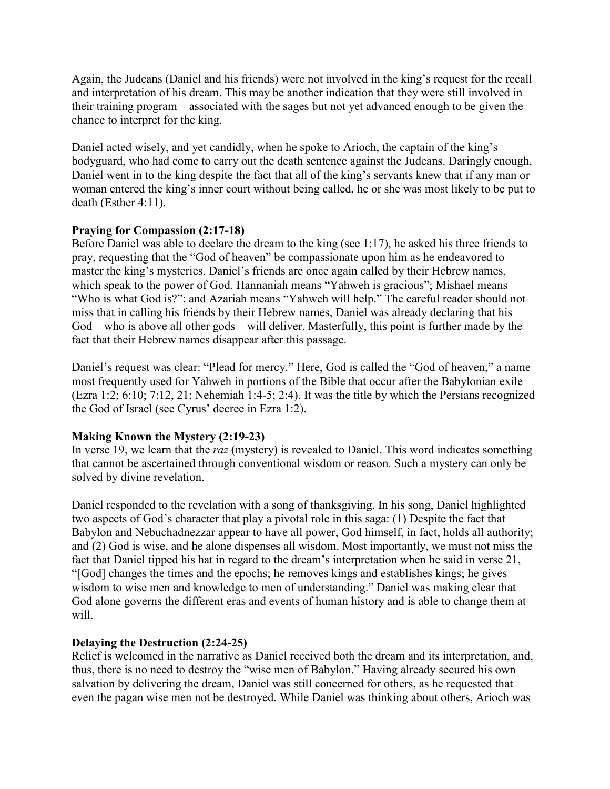Again, the Judeans (Daniel and his friends) were not involved in the king's request for the recall and interpretation of his dream. This may be another indication that they were still involved in their training program—associated with the sages but not yet advanced enough to be given the chance to interpret for the king.

Daniel acted wisely, and yet candidly, when he spoke to Arioch, the captain of the king's bodyguard, who had come to carry out the death sentence against the Judeans. Daringly enough, Daniel went in to the king despite the fact that all of the king's servants knew that if any man or woman entered the king's inner court without being called, he or she was most likely to be put to death (Esther 4:11).

# **Praying for Compassion (2:17-18)**

Before Daniel was able to declare the dream to the king (see 1:17), he asked his three friends to pray, requesting that the "God of heaven" be compassionate upon him as he endeavored to master the king's mysteries. Daniel's friends are once again called by their Hebrew names, which speak to the power of God. Hannaniah means "Yahweh is gracious"; Mishael means "Who is what God is?"; and Azariah means "Yahweh will help." The careful reader should not miss that in calling his friends by their Hebrew names, Daniel was already declaring that his God—who is above all other gods—will deliver. Masterfully, this point is further made by the fact that their Hebrew names disappear after this passage.

Daniel's request was clear: "Plead for mercy." Here, God is called the "God of heaven," a name most frequently used for Yahweh in portions of the Bible that occur after the Babylonian exile (Ezra 1:2; 6:10; 7:12, 21; Nehemiah 1:4-5; 2:4). It was the title by which the Persians recognized the God of Israel (see Cyrus' decree in Ezra 1:2).

# **Making Known the Mystery (2:19-23)**

In verse 19, we learn that the *raz* (mystery) is revealed to Daniel. This word indicates something that cannot be ascertained through conventional wisdom or reason. Such a mystery can only be solved by divine revelation.

Daniel responded to the revelation with a song of thanksgiving. In his song, Daniel highlighted two aspects of God's character that play a pivotal role in this saga: (1) Despite the fact that Babylon and Nebuchadnezzar appear to have all power, God himself, in fact, holds all authority; and (2) God is wise, and he alone dispenses all wisdom. Most importantly, we must not miss the fact that Daniel tipped his hat in regard to the dream's interpretation when he said in verse 21, "[God] changes the times and the epochs; he removes kings and establishes kings; he gives wisdom to wise men and knowledge to men of understanding." Daniel was making clear that God alone governs the different eras and events of human history and is able to change them at will.

# **Delaying the Destruction (2:24-25)**

Relief is welcomed in the narrative as Daniel received both the dream and its interpretation, and, thus, there is no need to destroy the "wise men of Babylon." Having already secured his own salvation by delivering the dream, Daniel was still concerned for others, as he requested that even the pagan wise men not be destroyed. While Daniel was thinking about others, Arioch was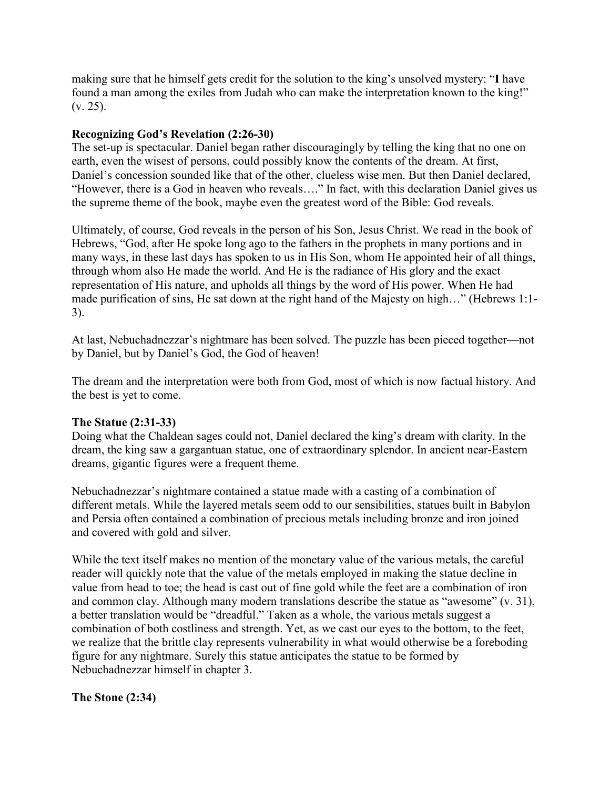making sure that he himself gets credit for the solution to the king's unsolved mystery: "**I** have found a man among the exiles from Judah who can make the interpretation known to the king!" (v. 25).

## **Recognizing God's Revelation (2:26-30)**

The set-up is spectacular. Daniel began rather discouragingly by telling the king that no one on earth, even the wisest of persons, could possibly know the contents of the dream. At first, Daniel's concession sounded like that of the other, clueless wise men. But then Daniel declared, "However, there is a God in heaven who reveals…." In fact, with this declaration Daniel gives us the supreme theme of the book, maybe even the greatest word of the Bible: God reveals.

Ultimately, of course, God reveals in the person of his Son, Jesus Christ. We read in the book of Hebrews, "God, after He spoke long ago to the fathers in the prophets in many portions and in many ways, in these last days has spoken to us in His Son, whom He appointed heir of all things, through whom also He made the world. And He is the radiance of His glory and the exact representation of His nature, and upholds all things by the word of His power. When He had made purification of sins, He sat down at the right hand of the Majesty on high…" (Hebrews 1:1- 3).

At last, Nebuchadnezzar's nightmare has been solved. The puzzle has been pieced together—not by Daniel, but by Daniel's God, the God of heaven!

The dream and the interpretation were both from God, most of which is now factual history. And the best is yet to come.

# **The Statue (2:31-33)**

Doing what the Chaldean sages could not, Daniel declared the king's dream with clarity. In the dream, the king saw a gargantuan statue, one of extraordinary splendor. In ancient near-Eastern dreams, gigantic figures were a frequent theme.

Nebuchadnezzar's nightmare contained a statue made with a casting of a combination of different metals. While the layered metals seem odd to our sensibilities, statues built in Babylon and Persia often contained a combination of precious metals including bronze and iron joined and covered with gold and silver.

While the text itself makes no mention of the monetary value of the various metals, the careful reader will quickly note that the value of the metals employed in making the statue decline in value from head to toe; the head is cast out of fine gold while the feet are a combination of iron and common clay. Although many modern translations describe the statue as "awesome" (v. 31), a better translation would be "dreadful." Taken as a whole, the various metals suggest a combination of both costliness and strength. Yet, as we cast our eyes to the bottom, to the feet, we realize that the brittle clay represents vulnerability in what would otherwise be a foreboding figure for any nightmare. Surely this statue anticipates the statue to be formed by Nebuchadnezzar himself in chapter 3.

# **The Stone (2:34)**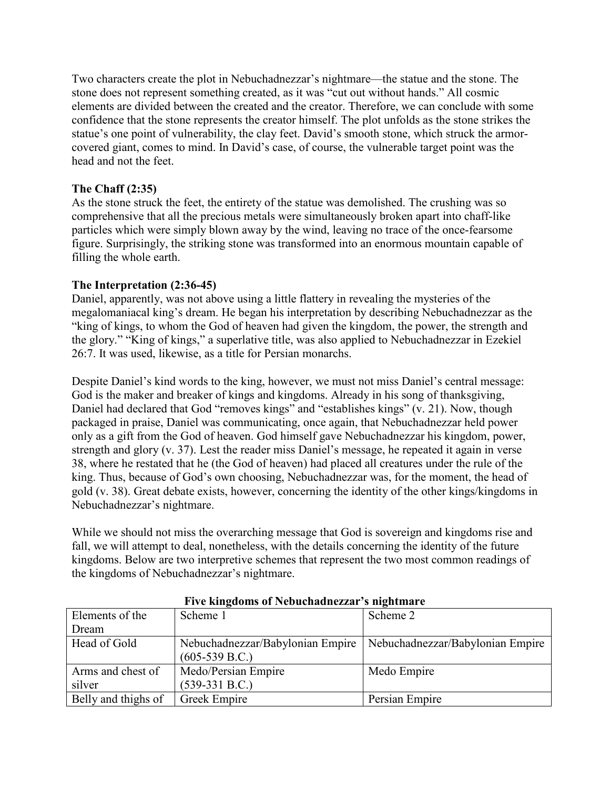Two characters create the plot in Nebuchadnezzar's nightmare—the statue and the stone. The stone does not represent something created, as it was "cut out without hands." All cosmic elements are divided between the created and the creator. Therefore, we can conclude with some confidence that the stone represents the creator himself. The plot unfolds as the stone strikes the statue's one point of vulnerability, the clay feet. David's smooth stone, which struck the armorcovered giant, comes to mind. In David's case, of course, the vulnerable target point was the head and not the feet.

# **The Chaff (2:35)**

As the stone struck the feet, the entirety of the statue was demolished. The crushing was so comprehensive that all the precious metals were simultaneously broken apart into chaff-like particles which were simply blown away by the wind, leaving no trace of the once-fearsome figure. Surprisingly, the striking stone was transformed into an enormous mountain capable of filling the whole earth.

# **The Interpretation (2:36-45)**

Daniel, apparently, was not above using a little flattery in revealing the mysteries of the megalomaniacal king's dream. He began his interpretation by describing Nebuchadnezzar as the "king of kings, to whom the God of heaven had given the kingdom, the power, the strength and the glory." "King of kings," a superlative title, was also applied to Nebuchadnezzar in Ezekiel 26:7. It was used, likewise, as a title for Persian monarchs.

Despite Daniel's kind words to the king, however, we must not miss Daniel's central message: God is the maker and breaker of kings and kingdoms. Already in his song of thanksgiving, Daniel had declared that God "removes kings" and "establishes kings" (v. 21). Now, though packaged in praise, Daniel was communicating, once again, that Nebuchadnezzar held power only as a gift from the God of heaven. God himself gave Nebuchadnezzar his kingdom, power, strength and glory (v. 37). Lest the reader miss Daniel's message, he repeated it again in verse 38, where he restated that he (the God of heaven) had placed all creatures under the rule of the king. Thus, because of God's own choosing, Nebuchadnezzar was, for the moment, the head of gold (v. 38). Great debate exists, however, concerning the identity of the other kings/kingdoms in Nebuchadnezzar's nightmare.

While we should not miss the overarching message that God is sovereign and kingdoms rise and fall, we will attempt to deal, nonetheless, with the details concerning the identity of the future kingdoms. Below are two interpretive schemes that represent the two most common readings of the kingdoms of Nebuchadnezzar's nightmare.

| Elements of the     | Scheme 1                         | Scheme 2                         |
|---------------------|----------------------------------|----------------------------------|
| Dream               |                                  |                                  |
| Head of Gold        | Nebuchadnezzar/Babylonian Empire | Nebuchadnezzar/Babylonian Empire |
|                     | $(605-539 B.C.)$                 |                                  |
| Arms and chest of   | Medo/Persian Empire              | Medo Empire                      |
| silver              | $(539-331 B.C.)$                 |                                  |
| Belly and thighs of | Greek Empire                     | Persian Empire                   |

**Five kingdoms of Nebuchadnezzar's nightmare**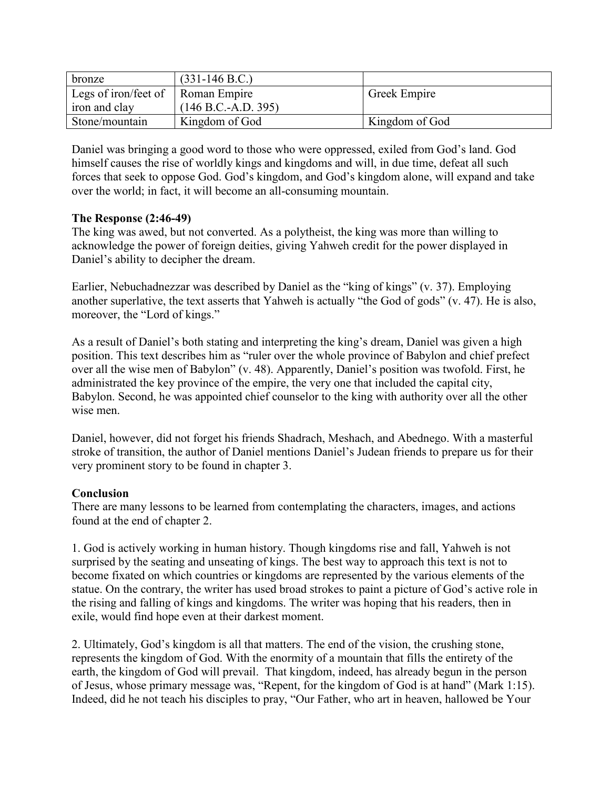| bronze                            | $(331-146 \text{ B.C.})$ |                |
|-----------------------------------|--------------------------|----------------|
| Legs of iron/feet of Roman Empire |                          | Greek Empire   |
| iron and clay                     | $(146 B.C.-A.D. 395)$    |                |
| Stone/mountain                    | Kingdom of God           | Kingdom of God |

Daniel was bringing a good word to those who were oppressed, exiled from God's land. God himself causes the rise of worldly kings and kingdoms and will, in due time, defeat all such forces that seek to oppose God. God's kingdom, and God's kingdom alone, will expand and take over the world; in fact, it will become an all-consuming mountain.

## **The Response (2:46-49)**

The king was awed, but not converted. As a polytheist, the king was more than willing to acknowledge the power of foreign deities, giving Yahweh credit for the power displayed in Daniel's ability to decipher the dream.

Earlier, Nebuchadnezzar was described by Daniel as the "king of kings" (v. 37). Employing another superlative, the text asserts that Yahweh is actually "the God of gods" (v. 47). He is also, moreover, the "Lord of kings."

As a result of Daniel's both stating and interpreting the king's dream, Daniel was given a high position. This text describes him as "ruler over the whole province of Babylon and chief prefect over all the wise men of Babylon" (v. 48). Apparently, Daniel's position was twofold. First, he administrated the key province of the empire, the very one that included the capital city, Babylon. Second, he was appointed chief counselor to the king with authority over all the other wise men.

Daniel, however, did not forget his friends Shadrach, Meshach, and Abednego. With a masterful stroke of transition, the author of Daniel mentions Daniel's Judean friends to prepare us for their very prominent story to be found in chapter 3.

# **Conclusion**

There are many lessons to be learned from contemplating the characters, images, and actions found at the end of chapter 2.

1. God is actively working in human history. Though kingdoms rise and fall, Yahweh is not surprised by the seating and unseating of kings. The best way to approach this text is not to become fixated on which countries or kingdoms are represented by the various elements of the statue. On the contrary, the writer has used broad strokes to paint a picture of God's active role in the rising and falling of kings and kingdoms. The writer was hoping that his readers, then in exile, would find hope even at their darkest moment.

2. Ultimately, God's kingdom is all that matters. The end of the vision, the crushing stone, represents the kingdom of God. With the enormity of a mountain that fills the entirety of the earth, the kingdom of God will prevail. That kingdom, indeed, has already begun in the person of Jesus, whose primary message was, "Repent, for the kingdom of God is at hand" (Mark 1:15). Indeed, did he not teach his disciples to pray, "Our Father, who art in heaven, hallowed be Your